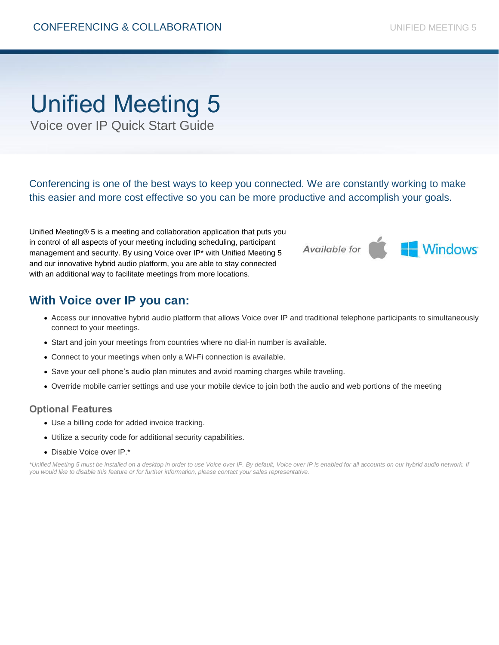# Unified Meeting 5

Voice over IP Quick Start Guide

Conferencing is one of the best ways to keep you connected. We are constantly working to make this easier and more cost effective so you can be more productive and accomplish your goals.

Unified Meeting® 5 is a meeting and collaboration application that puts you in control of all aspects of your meeting including scheduling, participant management and security. By using Voice over IP\* with Unified Meeting 5 and our innovative hybrid audio platform, you are able to stay connected with an additional way to facilitate meetings from more locations.

### **With Voice over IP you can:**

- Access our innovative hybrid audio platform that allows Voice over IP and traditional telephone participants to simultaneously connect to your meetings.
- Start and join your meetings from countries where no dial-in number is available.
- Connect to your meetings when only a Wi-Fi connection is available.
- Save your cell phone's audio plan minutes and avoid roaming charges while traveling.
- Override mobile carrier settings and use your mobile device to join both the audio and web portions of the meeting

#### **Optional Features**

- Use a billing code for added invoice tracking.
- Utilize a security code for additional security capabilities.
- Disable Voice over IP.\*

\*Unified Meeting 5 must be installed on a desktop in order to use Voice over IP. By default, Voice over IP is enabled for all accounts on our hybrid audio network. If *you would like to disable this feature or for further information, please contact your sales representative.*

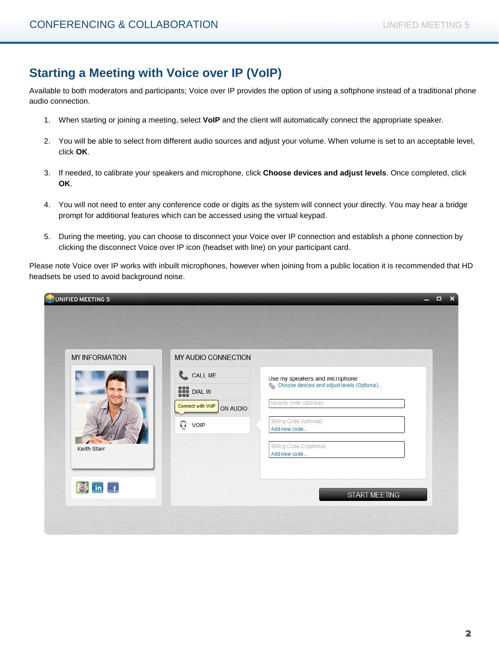# **Starting a Meeting with Voice over IP (VoIP)**

Available to both moderators and participants; Voice over IP provides the option of using a softphone instead of a traditional phone audio connection.

- 1. When starting or joining a meeting, select **VoIP** and the client will automatically connect the appropriate speaker.
- 2. You will be able to select from different audio sources and adjust your volume. When volume is set to an acceptable level, click **OK**.
- 3. If needed, to calibrate your speakers and microphone, click **Choose devices and adjust levels**. Once completed, click **OK**.
- 4. You will not need to enter any conference code or digits as the system will connect your directly. You may hear a bridge prompt for additional features which can be accessed using the virtual keypad.
- 5. During the meeting, you can choose to disconnect your Voice over IP connection and establish a phone connection by clicking the disconnect Voice over IP icon (headset with line) on your participant card.

Please note Voice over IP works with inbuilt microphones, however when joining from a public location it is recommended that HD headsets be used to avoid background noise.

| <b>MY INFORMATION</b> | MY AUDIO CONNECTION           |                                                                                 |  |
|-----------------------|-------------------------------|---------------------------------------------------------------------------------|--|
|                       | CALL ME<br><b>THE DIAL IN</b> | Use my speakers and microphone<br>‰ Choose devices and adjust levels (Optional) |  |
|                       | Connect with VolP<br>ON AUDIO | Security code (optional)                                                        |  |
|                       | ດ<br>VOIP                     | Billing Code (optional)<br>Add new code                                         |  |
| <b>Keith Starr</b>    |                               | Billing Code 2 (optional)<br>Add new code                                       |  |
|                       |                               |                                                                                 |  |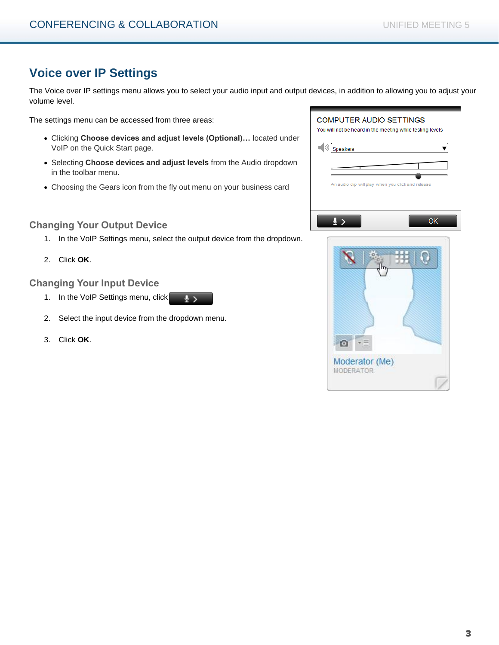# **Voice over IP Settings**

The Voice over IP settings menu allows you to select your audio input and output devices, in addition to allowing you to adjust your volume level.

The settings menu can be accessed from three areas:

- Clicking **Choose devices and adjust levels (Optional)…** located under VoIP on the Quick Start page.
- Selecting **Choose devices and adjust levels** from the Audio dropdown in the toolbar menu.
- Choosing the Gears icon from the fly out menu on your business card

#### **Changing Your Output Device**

- 1. In the VoIP Settings menu, select the output device from the dropdown.
- 2. Click **OK**.

#### **Changing Your Input Device**

- 1. In the VoIP Settings menu, click  $\frac{1}{2}$
- 2. Select the input device from the dropdown menu.
- 3. Click **OK**.

| <b>COMPUTER AUDIO SETTINGS</b><br>You will not be heard in the meeting while testing levels |  |
|---------------------------------------------------------------------------------------------|--|
| Speakers                                                                                    |  |
|                                                                                             |  |
| An audio clip will play when you click and release                                          |  |
|                                                                                             |  |
| nĸ                                                                                          |  |

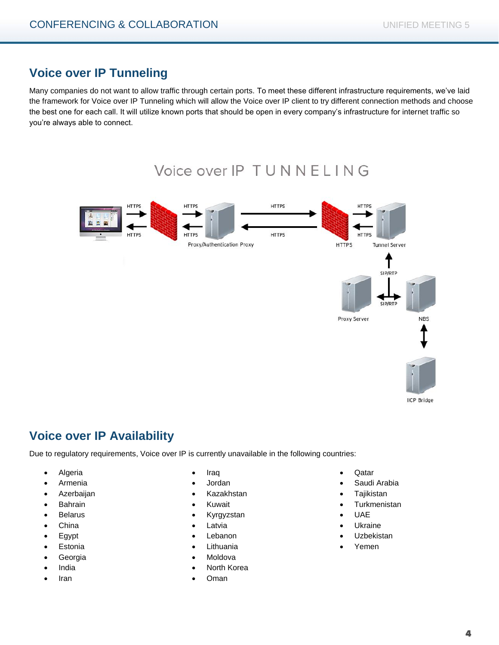# **Voice over IP Tunneling**

Many companies do not want to allow traffic through certain ports. To meet these different infrastructure requirements, we've laid the framework for Voice over IP Tunneling which will allow the Voice over IP client to try different connection methods and choose the best one for each call. It will utilize known ports that should be open in every company's infrastructure for internet traffic so you're always able to connect.

# Voice over IP TUNNELING



# **Voice over IP Availability**

Due to regulatory requirements, Voice over IP is currently unavailable in the following countries:

- Algeria
- Armenia
- Azerbaijan
- Bahrain
- Belarus
- China
- Egypt
- Estonia
- Georgia
- India
- Iran
- Iraq
- Jordan
- Kazakhstan
- Kuwait
- Kyrgyzstan
- Latvia
- Lebanon
- Lithuania
- Moldova
- North Korea
- Oman
- Qatar
- Saudi Arabia
- **Tajikistan**
- Turkmenistan
- UAE
- Ukraine
- Uzbekistan
- Yemen